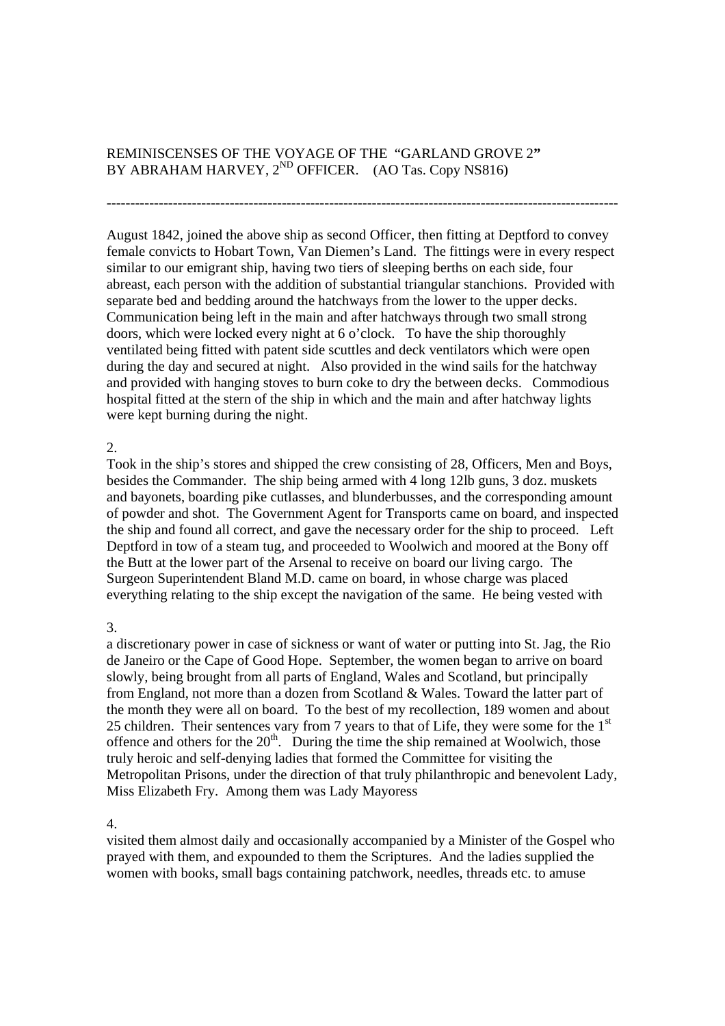# REMINISCENSES OF THE VOYAGE OF THE "GARLAND GROVE 2**"**  BY ABRAHAM HARVEY,  $2^{ND}$  OFFICER. (AO Tas. Copy NS816)

August 1842, joined the above ship as second Officer, then fitting at Deptford to convey female convicts to Hobart Town, Van Diemen's Land. The fittings were in every respect similar to our emigrant ship, having two tiers of sleeping berths on each side, four abreast, each person with the addition of substantial triangular stanchions. Provided with separate bed and bedding around the hatchways from the lower to the upper decks. Communication being left in the main and after hatchways through two small strong doors, which were locked every night at 6 o'clock. To have the ship thoroughly ventilated being fitted with patent side scuttles and deck ventilators which were open during the day and secured at night. Also provided in the wind sails for the hatchway and provided with hanging stoves to burn coke to dry the between decks. Commodious hospital fitted at the stern of the ship in which and the main and after hatchway lights were kept burning during the night.

------------------------------------------------------------------------------------------------------------

#### 2.

Took in the ship's stores and shipped the crew consisting of 28, Officers, Men and Boys, besides the Commander. The ship being armed with 4 long 12lb guns, 3 doz. muskets and bayonets, boarding pike cutlasses, and blunderbusses, and the corresponding amount of powder and shot. The Government Agent for Transports came on board, and inspected the ship and found all correct, and gave the necessary order for the ship to proceed. Left Deptford in tow of a steam tug, and proceeded to Woolwich and moored at the Bony off the Butt at the lower part of the Arsenal to receive on board our living cargo. The Surgeon Superintendent Bland M.D. came on board, in whose charge was placed everything relating to the ship except the navigation of the same. He being vested with

## 3.

a discretionary power in case of sickness or want of water or putting into St. Jag, the Rio de Janeiro or the Cape of Good Hope. September, the women began to arrive on board slowly, being brought from all parts of England, Wales and Scotland, but principally from England, not more than a dozen from Scotland & Wales. Toward the latter part of the month they were all on board. To the best of my recollection, 189 women and about 25 children. Their sentences vary from 7 years to that of Life, they were some for the  $1<sup>st</sup>$ offence and others for the  $20<sup>th</sup>$ . During the time the ship remained at Woolwich, those truly heroic and self-denying ladies that formed the Committee for visiting the Metropolitan Prisons, under the direction of that truly philanthropic and benevolent Lady, Miss Elizabeth Fry. Among them was Lady Mayoress

## 4.

visited them almost daily and occasionally accompanied by a Minister of the Gospel who prayed with them, and expounded to them the Scriptures. And the ladies supplied the women with books, small bags containing patchwork, needles, threads etc. to amuse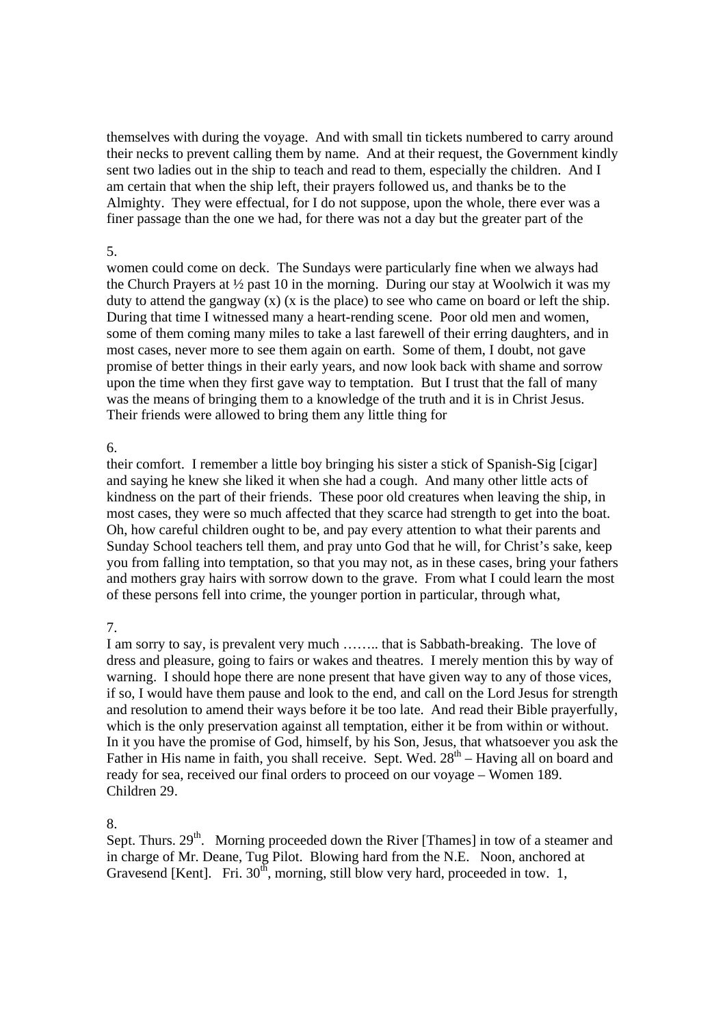themselves with during the voyage. And with small tin tickets numbered to carry around their necks to prevent calling them by name. And at their request, the Government kindly sent two ladies out in the ship to teach and read to them, especially the children. And I am certain that when the ship left, their prayers followed us, and thanks be to the Almighty. They were effectual, for I do not suppose, upon the whole, there ever was a finer passage than the one we had, for there was not a day but the greater part of the

## 5.

women could come on deck. The Sundays were particularly fine when we always had the Church Prayers at  $\frac{1}{2}$  past 10 in the morning. During our stay at Woolwich it was my duty to attend the gangway  $(x)$   $(x$  is the place) to see who came on board or left the ship. During that time I witnessed many a heart-rending scene. Poor old men and women, some of them coming many miles to take a last farewell of their erring daughters, and in most cases, never more to see them again on earth. Some of them, I doubt, not gave promise of better things in their early years, and now look back with shame and sorrow upon the time when they first gave way to temptation. But I trust that the fall of many was the means of bringing them to a knowledge of the truth and it is in Christ Jesus. Their friends were allowed to bring them any little thing for

## 6.

their comfort. I remember a little boy bringing his sister a stick of Spanish-Sig [cigar] and saying he knew she liked it when she had a cough. And many other little acts of kindness on the part of their friends. These poor old creatures when leaving the ship, in most cases, they were so much affected that they scarce had strength to get into the boat. Oh, how careful children ought to be, and pay every attention to what their parents and Sunday School teachers tell them, and pray unto God that he will, for Christ's sake, keep you from falling into temptation, so that you may not, as in these cases, bring your fathers and mothers gray hairs with sorrow down to the grave. From what I could learn the most of these persons fell into crime, the younger portion in particular, through what,

## 7.

I am sorry to say, is prevalent very much …….. that is Sabbath-breaking. The love of dress and pleasure, going to fairs or wakes and theatres. I merely mention this by way of warning. I should hope there are none present that have given way to any of those vices, if so, I would have them pause and look to the end, and call on the Lord Jesus for strength and resolution to amend their ways before it be too late. And read their Bible prayerfully, which is the only preservation against all temptation, either it be from within or without. In it you have the promise of God, himself, by his Son, Jesus, that whatsoever you ask the Father in His name in faith, you shall receive. Sept. Wed.  $28<sup>th</sup>$  – Having all on board and ready for sea, received our final orders to proceed on our voyage – Women 189. Children 29.

## 8.

Sept. Thurs.  $29<sup>th</sup>$ . Morning proceeded down the River [Thames] in tow of a steamer and in charge of Mr. Deane, Tug Pilot. Blowing hard from the N.E. Noon, anchored at Gravesend [Kent]. Fri.  $30<sup>th</sup>$ , morning, still blow very hard, proceeded in tow. 1,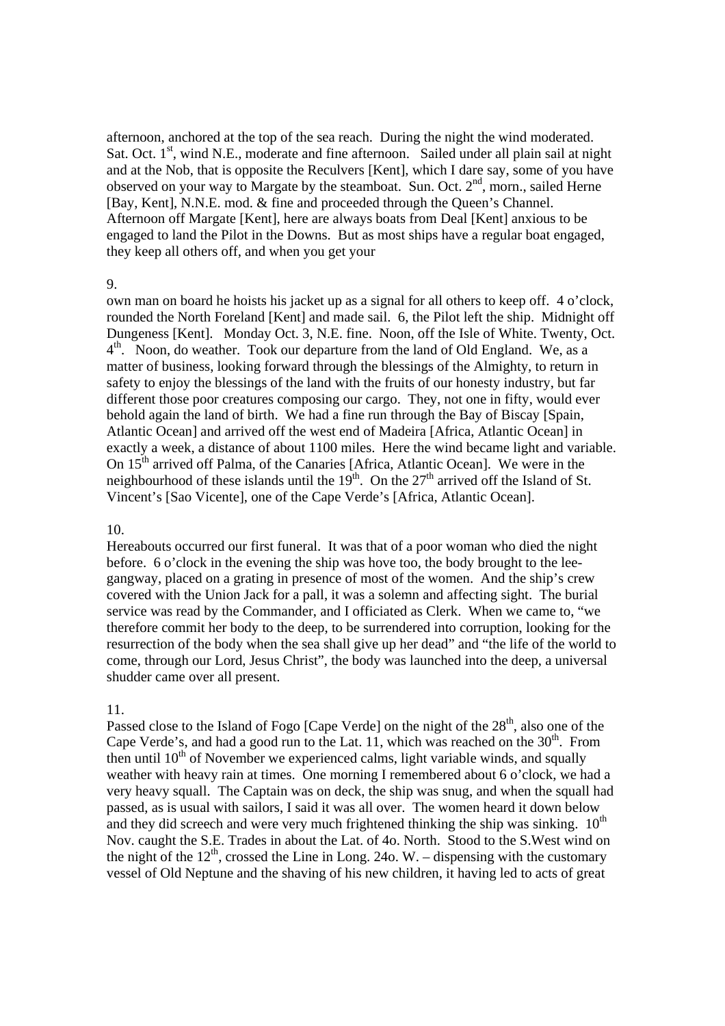afternoon, anchored at the top of the sea reach. During the night the wind moderated. Sat. Oct. 1<sup>st</sup>, wind N.E., moderate and fine afternoon. Sailed under all plain sail at night and at the Nob, that is opposite the Reculvers [Kent], which I dare say, some of you have observed on your way to Margate by the steamboat. Sun. Oct.  $2<sup>nd</sup>$ , morn., sailed Herne [Bay, Kent], N.N.E. mod. & fine and proceeded through the Queen's Channel. Afternoon off Margate [Kent], here are always boats from Deal [Kent] anxious to be engaged to land the Pilot in the Downs. But as most ships have a regular boat engaged, they keep all others off, and when you get your

#### 9.

own man on board he hoists his jacket up as a signal for all others to keep off. 4 o'clock, rounded the North Foreland [Kent] and made sail. 6, the Pilot left the ship. Midnight off Dungeness [Kent]. Monday Oct. 3, N.E. fine. Noon, off the Isle of White. Twenty, Oct.  $4<sup>th</sup>$ . Noon, do weather. Took our departure from the land of Old England. We, as a matter of business, looking forward through the blessings of the Almighty, to return in safety to enjoy the blessings of the land with the fruits of our honesty industry, but far different those poor creatures composing our cargo. They, not one in fifty, would ever behold again the land of birth. We had a fine run through the Bay of Biscay [Spain, Atlantic Ocean] and arrived off the west end of Madeira [Africa, Atlantic Ocean] in exactly a week, a distance of about 1100 miles. Here the wind became light and variable. On  $15<sup>th</sup>$  arrived off Palma, of the Canaries [Africa, Atlantic Ocean]. We were in the neighbourhood of these islands until the  $19<sup>th</sup>$ . On the  $27<sup>th</sup>$  arrived off the Island of St. Vincent's [Sao Vicente], one of the Cape Verde's [Africa, Atlantic Ocean].

## 10.

Hereabouts occurred our first funeral. It was that of a poor woman who died the night before. 6 o'clock in the evening the ship was hove too, the body brought to the leegangway, placed on a grating in presence of most of the women. And the ship's crew covered with the Union Jack for a pall, it was a solemn and affecting sight. The burial service was read by the Commander, and I officiated as Clerk. When we came to, "we therefore commit her body to the deep, to be surrendered into corruption, looking for the resurrection of the body when the sea shall give up her dead" and "the life of the world to come, through our Lord, Jesus Christ", the body was launched into the deep, a universal shudder came over all present.

## 11.

Passed close to the Island of Fogo [Cape Verde] on the night of the 28<sup>th</sup>, also one of the Cape Verde's, and had a good run to the Lat. 11, which was reached on the  $30<sup>th</sup>$ . From then until  $10<sup>th</sup>$  of November we experienced calms, light variable winds, and squally weather with heavy rain at times. One morning I remembered about 6 o'clock, we had a very heavy squall. The Captain was on deck, the ship was snug, and when the squall had passed, as is usual with sailors, I said it was all over. The women heard it down below and they did screech and were very much frightened thinking the ship was sinking.  $10^{th}$ Nov. caught the S.E. Trades in about the Lat. of 4o. North. Stood to the S.West wind on the night of the  $12<sup>th</sup>$ , crossed the Line in Long. 24o. W. – dispensing with the customary vessel of Old Neptune and the shaving of his new children, it having led to acts of great